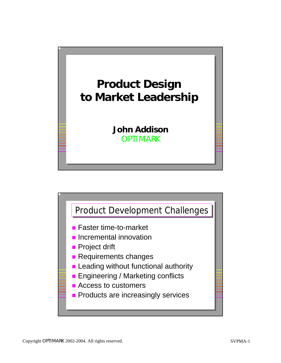

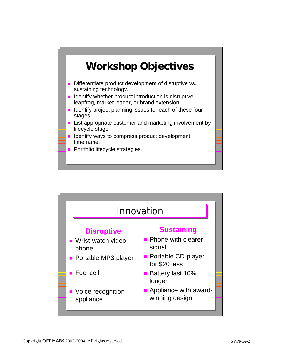

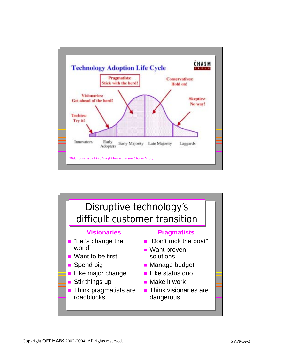

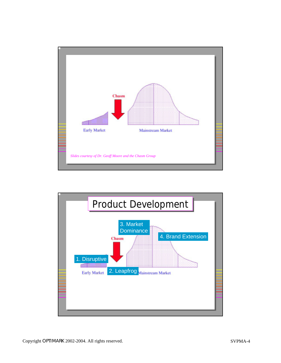

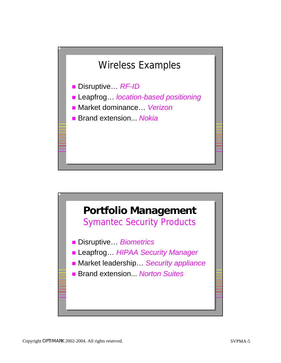## Wireless Examples

**Disruptive..** RF-ID

- ! Leapfrog… *location-based positioning*
- ! Market dominance… *Verizon*

■ Brand extension... *Nokia* 

## **Portfolio Management** Symantec Security Products

Copyright OPTIMARK 9

Copyright OPTIMARK 10

! Disruptive… *Biometrics*

- ! Leapfrog… *HIPAA Security Manager*
- Market leadership... *Security appliance*
- ! Brand extension... *Norton Suites*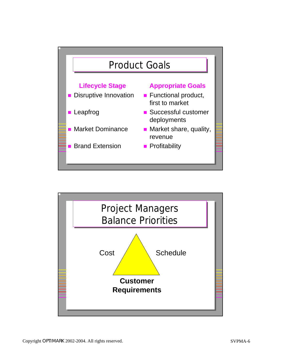

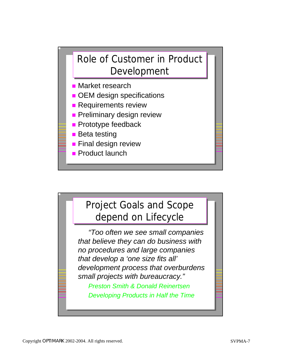

- **E** Market research
- **. OEM design specifications**
- **Requirements review**
- **Preliminary design review**
- **Prototype feedback**
- **Beta testing**
- **Example 1 Final design review**
- **Product launch**

## Project Goals and Scope Project Goals and Scope depend on Lifecycle depend on Lifecycle

Copyright OPTIMARK 13

Copyright OPTIMARK 14

*"Too often we see small companies that believe they can do business with no procedures and large companies that develop a 'one size fits all' development process that overburdens small projects with bureaucracy."*

*Preston Smith & Donald Reinertsen Developing Products in Half the Time*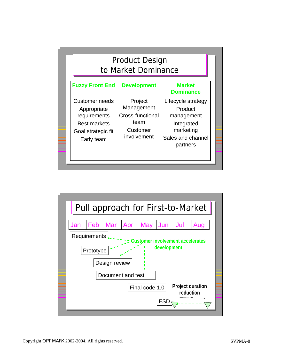

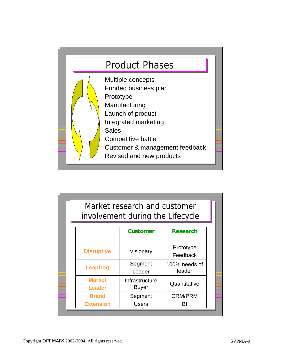

|                                  | Market research and customer<br>involvement during the Lifecycle |                                         |  |
|----------------------------------|------------------------------------------------------------------|-----------------------------------------|--|
|                                  | <b>Customer</b>                                                  | <b>Research</b>                         |  |
| <b>Disruptive</b>                | Visionary                                                        | Prototype<br>Feedback                   |  |
| Leapfrog                         | Segment<br>Leader                                                | 100% needs of<br>leader<br>Quantitative |  |
| <b>Market</b><br><b>Leader</b>   | Infrastructure<br><b>Buyer</b>                                   |                                         |  |
| <b>Brand</b><br><b>Extension</b> | Segment<br><b>Users</b>                                          | <b>CRM/PRM</b><br>BI                    |  |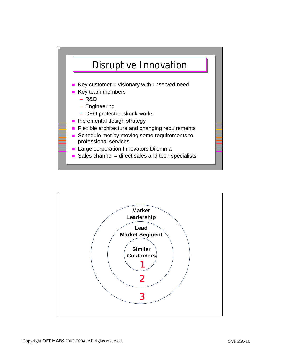

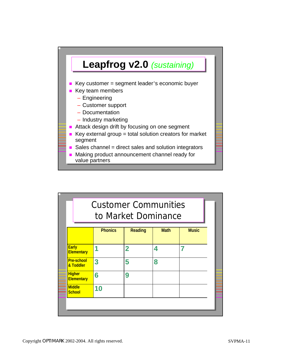

|                                    |                | to Market Dominance |             |              |
|------------------------------------|----------------|---------------------|-------------|--------------|
|                                    | <b>Phonics</b> | <b>Reading</b>      | <b>Math</b> | <b>Music</b> |
| <b>Early</b><br><b>Elementary</b>  | 1              | $\overline{2}$      | 4           |              |
| <b>Pre-school</b><br>& Toddler     | 3              | 5                   | 8           |              |
| <b>Higher</b><br><b>Elementary</b> | 6              | 9                   |             |              |
| <b>Middle</b><br><b>School</b>     | 10             |                     |             |              |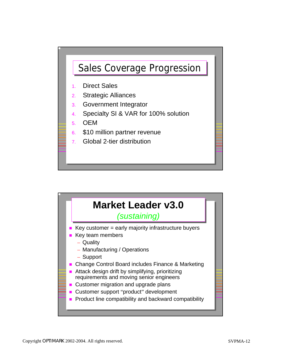

- 1. Direct Sales
- 2. Strategic Alliances
- 3. Government Integrator
- 4. Specialty SI & VAR for 100% solution
- 5. OEM
- 6. \$10 million partner revenue
- 7. Global 2-tier distribution



Copyright OPTIMARK 24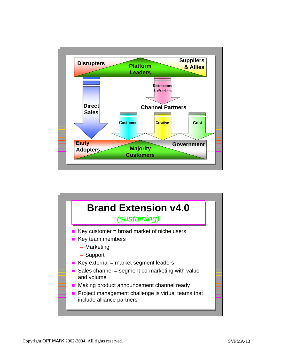

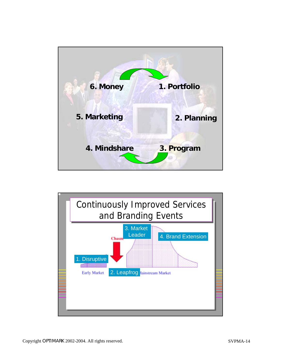

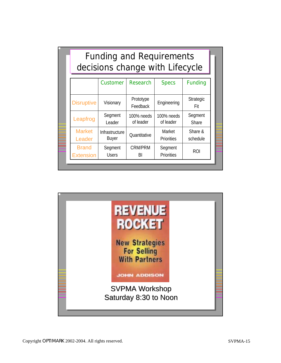| <b>Funding and Requirements</b><br>decisions change with Lifecycle |                |                       |                   |                         |  |  |
|--------------------------------------------------------------------|----------------|-----------------------|-------------------|-------------------------|--|--|
|                                                                    | Customer       | <b>Research</b>       | <b>Specs</b>      | <b>Funding</b>          |  |  |
| <b>Disruptive</b>                                                  | Visionary      | Prototype<br>Feedback | Engineering       | <b>Strategic</b><br>Fit |  |  |
| Leapfrog                                                           | Segment        | 100% needs            | 100% needs        | Segment                 |  |  |
|                                                                    | Leader         | of leader             | of leader         | <b>Share</b>            |  |  |
| <b>Market</b>                                                      | Infrastructure | Quantitative          | Market            | Share &                 |  |  |
| Leader                                                             | <b>Buyer</b>   |                       | <b>Priorities</b> | schedule                |  |  |
| <b>Brand</b>                                                       | Segment        | <b>CRM/PRM</b>        | Segment           | ROI                     |  |  |
| <b>Extension</b>                                                   | <b>Users</b>   | BI                    | Priorities        |                         |  |  |